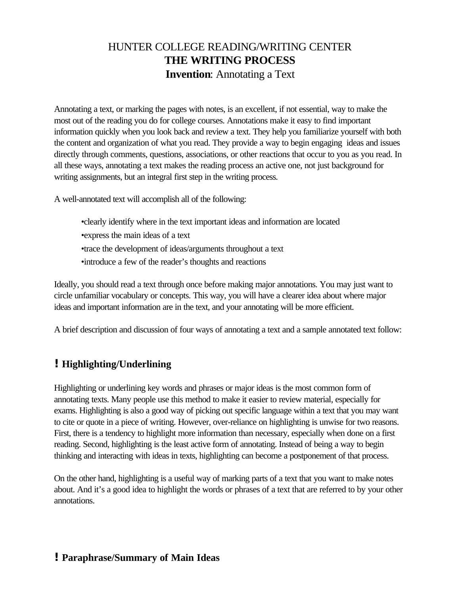# HUNTER COLLEGE READING/WRITING CENTER **THE WRITING PROCESS Invention**: Annotating a Text

Annotating a text, or marking the pages with notes, is an excellent, if not essential, way to make the most out of the reading you do for college courses. Annotations make it easy to find important information quickly when you look back and review a text. They help you familiarize yourself with both the content and organization of what you read. They provide a way to begin engaging ideas and issues directly through comments, questions, associations, or other reactions that occur to you as you read. In all these ways, annotating a text makes the reading process an active one, not just background for writing assignments, but an integral first step in the writing process.

A well-annotated text will accomplish all of the following:

•clearly identify where in the text important ideas and information are located •express the main ideas of a text •trace the development of ideas/arguments throughout a text •introduce a few of the reader's thoughts and reactions

Ideally, you should read a text through once before making major annotations. You may just want to circle unfamiliar vocabulary or concepts. This way, you will have a clearer idea about where major ideas and important information are in the text, and your annotating will be more efficient.

A brief description and discussion of four ways of annotating a text and a sample annotated text follow:

## **!Highlighting/Underlining**

Highlighting or underlining key words and phrases or major ideas is the most common form of annotating texts. Many people use this method to make it easier to review material, especially for exams. Highlighting is also a good way of picking out specific language within a text that you may want to cite or quote in a piece of writing. However, over-reliance on highlighting is unwise for two reasons. First, there is a tendency to highlight more information than necessary, especially when done on a first reading. Second, highlighting is the least active form of annotating. Instead of being a way to begin thinking and interacting with ideas in texts, highlighting can become a postponement of that process.

On the other hand, highlighting is a useful way of marking parts of a text that you want to make notes about. And it's a good idea to highlight the words or phrases of a text that are referred to by your other annotations.

### **!Paraphrase/Summary of Main Ideas**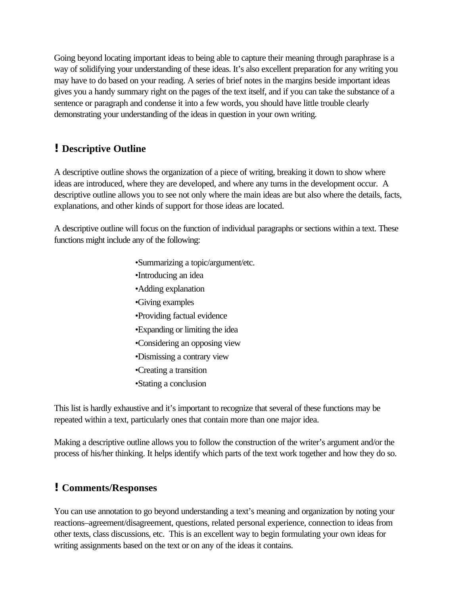Going beyond locating important ideas to being able to capture their meaning through paraphrase is a way of solidifying your understanding of these ideas. It's also excellent preparation for any writing you may have to do based on your reading. A series of brief notes in the margins beside important ideas gives you a handy summary right on the pages of the text itself, and if you can take the substance of a sentence or paragraph and condense it into a few words, you should have little trouble clearly demonstrating your understanding of the ideas in question in your own writing.

## **!Descriptive Outline**

A descriptive outline shows the organization of a piece of writing, breaking it down to show where ideas are introduced, where they are developed, and where any turns in the development occur. A descriptive outline allows you to see not only where the main ideas are but also where the details, facts, explanations, and other kinds of support for those ideas are located.

A descriptive outline will focus on the function of individual paragraphs or sections within a text. These functions might include any of the following:

- •Summarizing a topic/argument/etc.
- •Introducing an idea
- •Adding explanation
- •Giving examples
- •Providing factual evidence
- •Expanding or limiting the idea
- •Considering an opposing view
- •Dismissing a contrary view
- •Creating a transition
- •Stating a conclusion

This list is hardly exhaustive and it's important to recognize that several of these functions may be repeated within a text, particularly ones that contain more than one major idea.

Making a descriptive outline allows you to follow the construction of the writer's argument and/or the process of his/her thinking. It helps identify which parts of the text work together and how they do so.

## **!Comments/Responses**

You can use annotation to go beyond understanding a text's meaning and organization by noting your reactions–agreement/disagreement, questions, related personal experience, connection to ideas from other texts, class discussions, etc. This is an excellent way to begin formulating your own ideas for writing assignments based on the text or on any of the ideas it contains.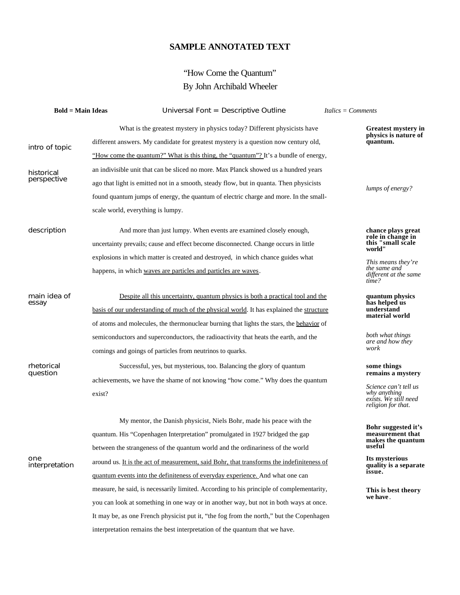#### **SAMPLE ANNOTATED TEXT**

# "How Come the Quantum" By John Archibald Wheeler

| <b>Bold = Main Ideas</b>  | Universal Font = Descriptive Outline                                                      | $Italics = Comments$                                                                                      |
|---------------------------|-------------------------------------------------------------------------------------------|-----------------------------------------------------------------------------------------------------------|
|                           | What is the greatest mystery in physics today? Different physicists have                  | <b>Greatest mystery in</b>                                                                                |
| intro of topic            | different answers. My candidate for greatest mystery is a question now century old,       | physics is nature of<br>quantum.                                                                          |
|                           | "How come the quantum?" What is this thing, the "quantum"? It's a bundle of energy,       |                                                                                                           |
| historical<br>perspective | an indivisible unit that can be sliced no more. Max Planck showed us a hundred years      |                                                                                                           |
|                           | ago that light is emitted not in a smooth, steady flow, but in quanta. Then physicists    | lumps of energy?                                                                                          |
|                           | found quantum jumps of energy, the quantum of electric charge and more. In the small-     |                                                                                                           |
|                           | scale world, everything is lumpy.                                                         |                                                                                                           |
| description               | And more than just lumpy. When events are examined closely enough,                        | chance plays great<br>role in change in                                                                   |
|                           | uncertainty prevails; cause and effect become disconnected. Change occurs in little       | this "small scale<br>world"                                                                               |
|                           | explosions in which matter is created and destroyed, in which chance guides what          | This means they're                                                                                        |
|                           | happens, in which waves are particles and particles are waves.                            | the same and<br>different at the same<br>time?                                                            |
| main idea of<br>essay     | Despite all this uncertainty, quantum physics is both a practical tool and the            | quantum physics                                                                                           |
|                           | basis of our understanding of much of the physical world. It has explained the structure  | has helped us<br>understand<br>material world                                                             |
|                           | of atoms and molecules, the thermonuclear burning that lights the stars, the behavior of  |                                                                                                           |
|                           | semiconductors and superconductors, the radioactivity that heats the earth, and the       | both what things<br>are and how they                                                                      |
|                           | comings and goings of particles from neutrinos to quarks.                                 | work                                                                                                      |
| rhetorical<br>question    | Successful, yes, but mysterious, too. Balancing the glory of quantum                      | some things                                                                                               |
|                           | achievements, we have the shame of not knowing "how come." Why does the quantum           | remains a mystery<br>Science can't tell us<br>why anything<br>exists. We still need<br>religion for that. |
|                           | exist?                                                                                    |                                                                                                           |
| one<br>interpretation     | My mentor, the Danish physicist, Niels Bohr, made his peace with the                      |                                                                                                           |
|                           | quantum. His "Copenhagen Interpretation" promulgated in 1927 bridged the gap              | Bohr suggested it's<br>measurement that                                                                   |
|                           | between the strangeness of the quantum world and the ordinariness of the world            | makes the quantum<br>useful                                                                               |
|                           | around us. It is the act of measurement, said Bohr, that transforms the indefiniteness of | Its mysterious<br>quality is a separate<br>issue.<br>This is best theory                                  |
|                           | quantum events into the definiteness of everyday experience. And what one can             |                                                                                                           |
|                           | measure, he said, is necessarily limited. According to his principle of complementarity,  |                                                                                                           |
|                           | you can look at something in one way or in another way, but not in both ways at once.     | we have.                                                                                                  |
|                           | It may be, as one French physicist put it, "the fog from the north," but the Copenhagen   |                                                                                                           |
|                           | interpretation remains the best interpretation of the quantum that we have.               |                                                                                                           |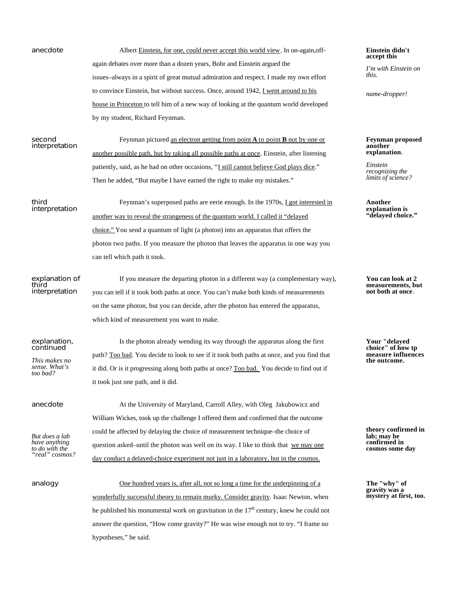anecdote Albert Einstein, for one, could never accept this world view. In on-again, offagain debates over more than a dozen years, Bohr and Einstein argued the issues–always in a spirit of great mutual admiration and respect. I made my own effort to convince Einstein, but without success. Once, around 1942, I went around to his house in Princeton to tell him of a new way of looking at the quantum world developed by my student, Richard Feynman.

second interpretation

Feynman pictured an electron getting from point **A** to point **B** not by one or another possible path, but by taking all possible paths at once. Einstein, after listening patiently, said, as he had on other occasions, "I still cannot believe God plays dice." Then he added, "But maybe I have earned the right to make my mistakes."

third interpretation

Feynman's superposed paths are eerie enough. In the 1970s, I got interested in another way to reveal the strangeness of the quantum world. I called it "delayed choice." You send a quantum of light (a photon) into an apparatus that offers the photon two paths. If you measure the photon that leaves the apparatus in one way you can tell which path it took.

explanation of third interpretation

If you measure the departing photon in a different way (a complementary way), you can tell if it took both paths at once. You can't make both kinds of measurements on the same photon, but you can decide, after the photon has entered the apparatus, which kind of measurement you want to make.

path? Too bad. You decide to look to see if it took both paths at once, and you find that it did. Or is it progressing along both paths at once? Too bad. You decide to find out if

it took just one path, and it did.

Is the photon already wending its way through the apparatus along the first

#### explanation, continued

*This makes no sense. What's too bad?*

anecdote

*But does a lab have anything to do with the "real" cosmos?*

At the University of Maryland, Carroll Alley, with Oleg Jakubowicz and William Wickes, took up the challenge I offered them and confirmed that the outcome could be affected by delaying the choice of measurement technique–the choice of question asked–until the photon was well on its way. I like to think that we may one day conduct a delayed-choice experiment not just in a laboratory, but in the cosmos.

analogy One hundred years is, after all, not so long a time for the underpinning of a wonderfully successful theory to remain murky. Consider gravity. Isaac Newton, when he published his monumental work on gravitation in the  $17<sup>th</sup>$  century, knew he could not answer the question, "How come gravity?" He was wise enough not to try. "I frame no hypotheses," he said.

#### **Einstein didn't accept this**

*I'm with Einstein on this.*

*name-dropper!*

**Feynman proposed another explanation**.

*Einstein recognizing the limits of science?*

**Another explanation is "delayed choice."**

**You can look at 2 measurements, but not both at once**.

**Your "delayed choice" of how tp measure influences the outcome.**

**theory confirmed in lab; may be confirmed in cosmos some day**

**The "why" of gravity was a mystery at first, too.**